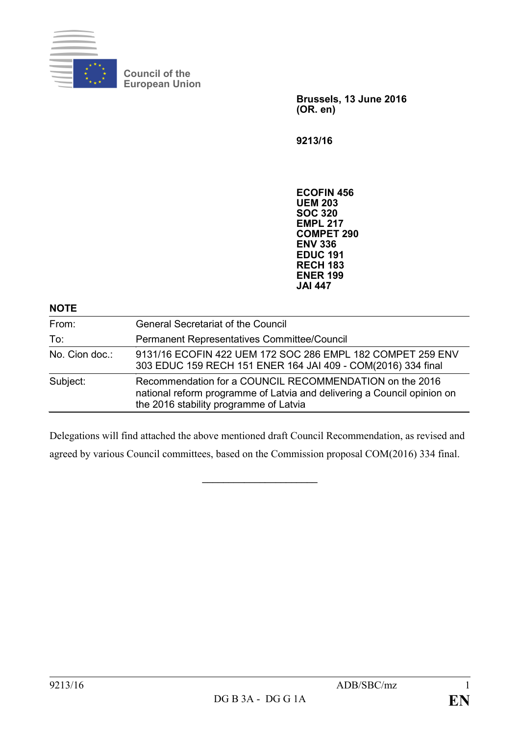

**Council of the European Union**

> **Brussels, 13 June 2016 (OR. en)**

**9213/16**

**ECOFIN 456 UEM 203 SOC 320 EMPL 217 COMPET 290 ENV 336 EDUC 191 RECH 183 ENER 199 JAI 447**

| <b>NOTE</b>    |                                                                                                                                                                              |
|----------------|------------------------------------------------------------------------------------------------------------------------------------------------------------------------------|
| From:          | <b>General Secretariat of the Council</b>                                                                                                                                    |
| To:            | Permanent Representatives Committee/Council                                                                                                                                  |
| No. Cion doc.: | 9131/16 ECOFIN 422 UEM 172 SOC 286 EMPL 182 COMPET 259 ENV<br>303 EDUC 159 RECH 151 ENER 164 JAI 409 - COM(2016) 334 final                                                   |
| Subject:       | Recommendation for a COUNCIL RECOMMENDATION on the 2016<br>national reform programme of Latvia and delivering a Council opinion on<br>the 2016 stability programme of Latvia |

Delegations will find attached the above mentioned draft Council Recommendation, as revised and agreed by various Council committees, based on the Commission proposal COM(2016) 334 final.

**\_\_\_\_\_\_\_\_\_\_\_\_\_\_\_\_\_\_\_\_\_\_**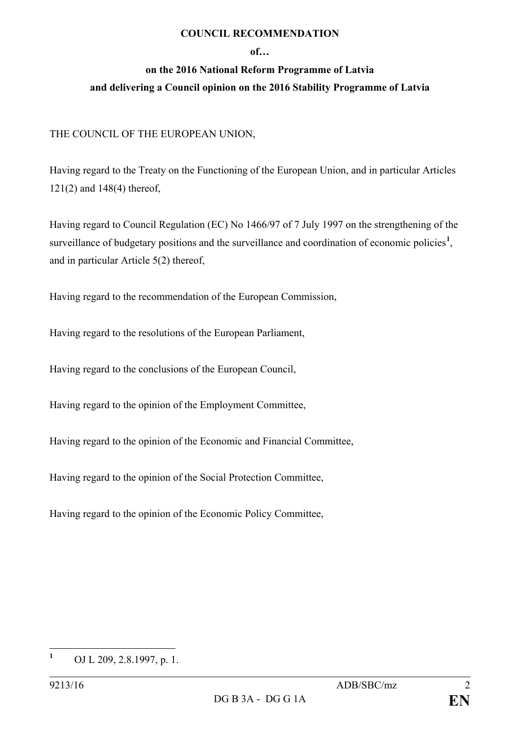## **COUNCIL RECOMMENDATION**

## **of…**

## **on the 2016 National Reform Programme of Latvia and delivering a Council opinion on the 2016 Stability Programme of Latvia**

## THE COUNCIL OF THE EUROPEAN UNION,

Having regard to the Treaty on the Functioning of the European Union, and in particular Articles 121(2) and 148(4) thereof,

Having regard to Council Regulation (EC) No 1466/97 of 7 July 1997 on the strengthening of the surveillance of budgetary positions and the surveillance and coordination of economic policies<sup>[1](#page-1-0)</sup>, and in particular Article 5(2) thereof,

Having regard to the recommendation of the European Commission,

Having regard to the resolutions of the European Parliament,

Having regard to the conclusions of the European Council,

Having regard to the opinion of the Employment Committee,

Having regard to the opinion of the Economic and Financial Committee,

Having regard to the opinion of the Social Protection Committee,

Having regard to the opinion of the Economic Policy Committee,

<span id="page-1-0"></span>**<sup>1</sup>** OJ L 209, 2.8.1997, p. 1.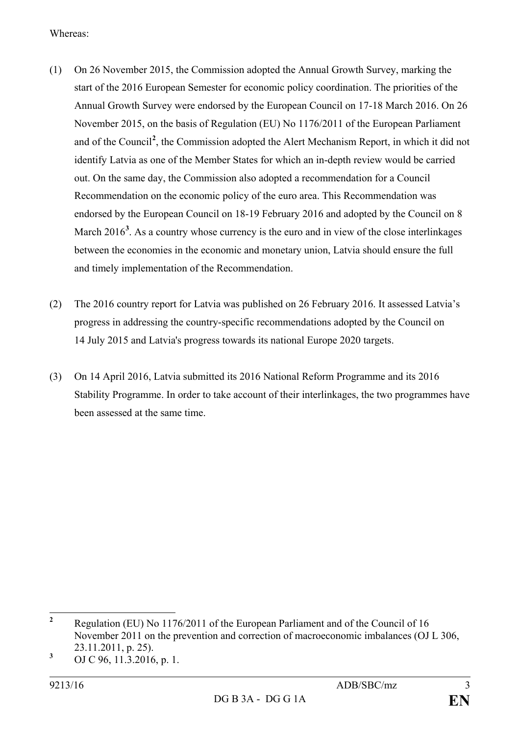Whereas:

- (1) On 26 November 2015, the Commission adopted the Annual Growth Survey, marking the start of the 2016 European Semester for economic policy coordination. The priorities of the Annual Growth Survey were endorsed by the European Council on 17-18 March 2016. On 26 November 2015, on the basis of Regulation (EU) No 1176/2011 of the European Parliament and of the Council**[2](#page-2-0)** , the Commission adopted the Alert Mechanism Report, in which it did not identify Latvia as one of the Member States for which an in-depth review would be carried out. On the same day, the Commission also adopted a recommendation for a Council Recommendation on the economic policy of the euro area. This Recommendation was endorsed by the European Council on 18-19 February 2016 and adopted by the Council on 8 March 2016<sup>[3](#page-2-1)</sup>. As a country whose currency is the euro and in view of the close interlinkages between the economies in the economic and monetary union, Latvia should ensure the full and timely implementation of the Recommendation.
- (2) The 2016 country report for Latvia was published on 26 February 2016. It assessed Latvia's progress in addressing the country-specific recommendations adopted by the Council on 14 July 2015 and Latvia's progress towards its national Europe 2020 targets.
- (3) On 14 April 2016, Latvia submitted its 2016 National Reform Programme and its 2016 Stability Programme. In order to take account of their interlinkages, the two programmes have been assessed at the same time.

<span id="page-2-0"></span>**<sup>2</sup>** Regulation (EU) No 1176/2011 of the European Parliament and of the Council of 16 November 2011 on the prevention and correction of macroeconomic imbalances (OJ L 306, 23.11.2011, p. 25).

<span id="page-2-1"></span>**<sup>3</sup>** OJ C 96, 11.3.2016, p. 1.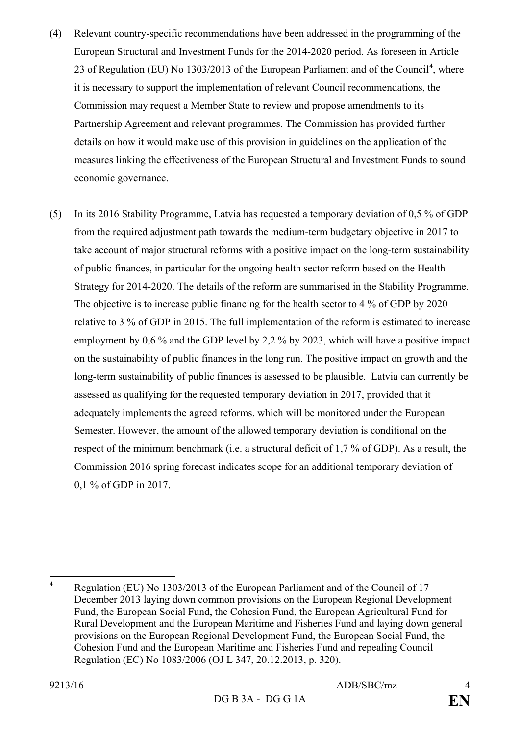- (4) Relevant country-specific recommendations have been addressed in the programming of the European Structural and Investment Funds for the 2014-2020 period. As foreseen in Article 23 of Regulation (EU) No 1303/2013 of the European Parliament and of the Council**[4](#page-3-0)** , where it is necessary to support the implementation of relevant Council recommendations, the Commission may request a Member State to review and propose amendments to its Partnership Agreement and relevant programmes. The Commission has provided further details on how it would make use of this provision in guidelines on the application of the measures linking the effectiveness of the European Structural and Investment Funds to sound economic governance.
- (5) In its 2016 Stability Programme, Latvia has requested a temporary deviation of 0,5 % of GDP from the required adjustment path towards the medium-term budgetary objective in 2017 to take account of major structural reforms with a positive impact on the long-term sustainability of public finances, in particular for the ongoing health sector reform based on the Health Strategy for 2014-2020. The details of the reform are summarised in the Stability Programme. The objective is to increase public financing for the health sector to 4 % of GDP by 2020 relative to 3 % of GDP in 2015. The full implementation of the reform is estimated to increase employment by 0,6 % and the GDP level by 2,2 % by 2023, which will have a positive impact on the sustainability of public finances in the long run. The positive impact on growth and the long-term sustainability of public finances is assessed to be plausible. Latvia can currently be assessed as qualifying for the requested temporary deviation in 2017, provided that it adequately implements the agreed reforms, which will be monitored under the European Semester. However, the amount of the allowed temporary deviation is conditional on the respect of the minimum benchmark (i.e. a structural deficit of 1,7 % of GDP). As a result, the Commission 2016 spring forecast indicates scope for an additional temporary deviation of 0,1 % of GDP in 2017.

<span id="page-3-0"></span>**<sup>4</sup>** Regulation (EU) No 1303/2013 of the European Parliament and of the Council of 17 December 2013 laying down common provisions on the European Regional Development Fund, the European Social Fund, the Cohesion Fund, the European Agricultural Fund for Rural Development and the European Maritime and Fisheries Fund and laying down general provisions on the European Regional Development Fund, the European Social Fund, the Cohesion Fund and the European Maritime and Fisheries Fund and repealing Council Regulation (EC) No 1083/2006 (OJ L 347, 20.12.2013, p. 320).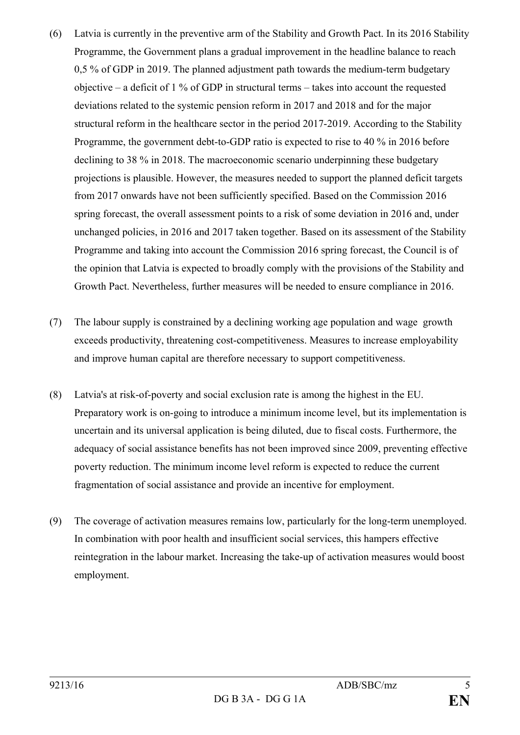- (6) Latvia is currently in the preventive arm of the Stability and Growth Pact. In its 2016 Stability Programme, the Government plans a gradual improvement in the headline balance to reach 0,5 % of GDP in 2019. The planned adjustment path towards the medium-term budgetary objective – a deficit of 1 % of GDP in structural terms – takes into account the requested deviations related to the systemic pension reform in 2017 and 2018 and for the major structural reform in the healthcare sector in the period 2017-2019. According to the Stability Programme, the government debt-to-GDP ratio is expected to rise to 40 % in 2016 before declining to 38 % in 2018. The macroeconomic scenario underpinning these budgetary projections is plausible. However, the measures needed to support the planned deficit targets from 2017 onwards have not been sufficiently specified. Based on the Commission 2016 spring forecast, the overall assessment points to a risk of some deviation in 2016 and, under unchanged policies, in 2016 and 2017 taken together. Based on its assessment of the Stability Programme and taking into account the Commission 2016 spring forecast, the Council is of the opinion that Latvia is expected to broadly comply with the provisions of the Stability and Growth Pact. Nevertheless, further measures will be needed to ensure compliance in 2016.
- (7) The labour supply is constrained by a declining working age population and wage growth exceeds productivity, threatening cost-competitiveness. Measures to increase employability and improve human capital are therefore necessary to support competitiveness.
- (8) Latvia's at risk-of-poverty and social exclusion rate is among the highest in the EU. Preparatory work is on-going to introduce a minimum income level, but its implementation is uncertain and its universal application is being diluted, due to fiscal costs. Furthermore, the adequacy of social assistance benefits has not been improved since 2009, preventing effective poverty reduction. The minimum income level reform is expected to reduce the current fragmentation of social assistance and provide an incentive for employment.
- (9) The coverage of activation measures remains low, particularly for the long-term unemployed. In combination with poor health and insufficient social services, this hampers effective reintegration in the labour market. Increasing the take-up of activation measures would boost employment.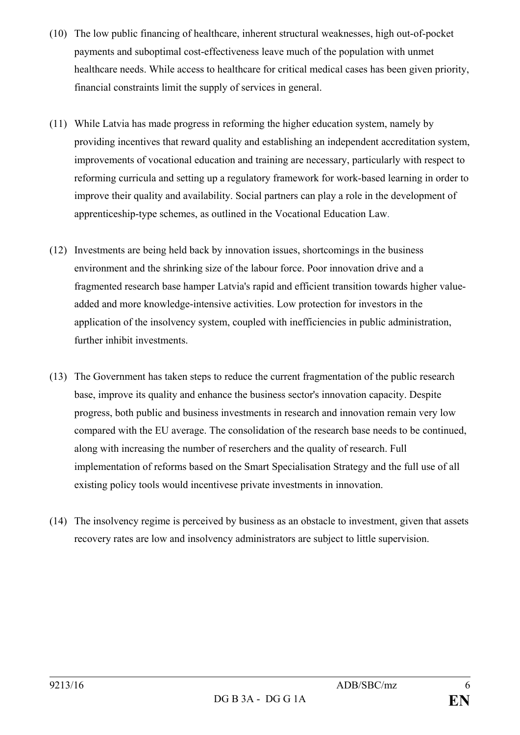- (10) The low public financing of healthcare, inherent structural weaknesses, high out-of-pocket payments and suboptimal cost-effectiveness leave much of the population with unmet healthcare needs. While access to healthcare for critical medical cases has been given priority, financial constraints limit the supply of services in general.
- (11) While Latvia has made progress in reforming the higher education system, namely by providing incentives that reward quality and establishing an independent accreditation system, improvements of vocational education and training are necessary, particularly with respect to reforming curricula and setting up a regulatory framework for work-based learning in order to improve their quality and availability. Social partners can play a role in the development of apprenticeship-type schemes, as outlined in the Vocational Education Law.
- (12) Investments are being held back by innovation issues, shortcomings in the business environment and the shrinking size of the labour force. Poor innovation drive and a fragmented research base hamper Latvia's rapid and efficient transition towards higher valueadded and more knowledge-intensive activities. Low protection for investors in the application of the insolvency system, coupled with inefficiencies in public administration, further inhibit investments.
- (13) The Government has taken steps to reduce the current fragmentation of the public research base, improve its quality and enhance the business sector's innovation capacity. Despite progress, both public and business investments in research and innovation remain very low compared with the EU average. The consolidation of the research base needs to be continued, along with increasing the number of reserchers and the quality of research. Full implementation of reforms based on the Smart Specialisation Strategy and the full use of all existing policy tools would incentivese private investments in innovation.
- (14) The insolvency regime is perceived by business as an obstacle to investment, given that assets recovery rates are low and insolvency administrators are subject to little supervision.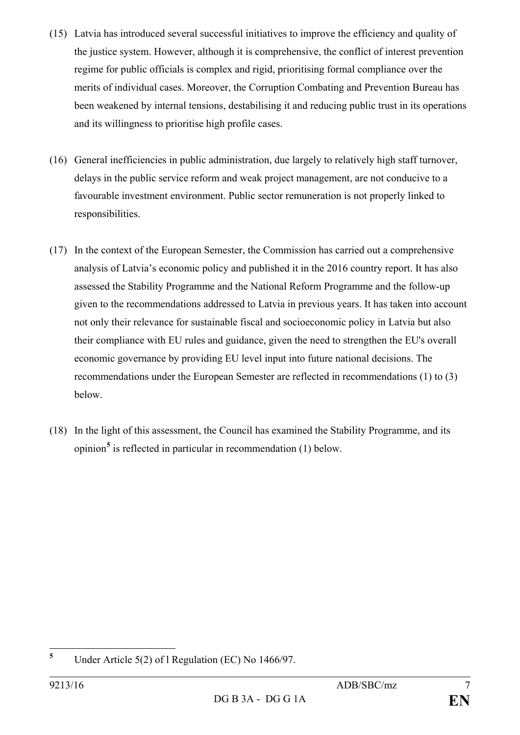- (15) Latvia has introduced several successful initiatives to improve the efficiency and quality of the justice system. However, although it is comprehensive, the conflict of interest prevention regime for public officials is complex and rigid, prioritising formal compliance over the merits of individual cases. Moreover, the Corruption Combating and Prevention Bureau has been weakened by internal tensions, destabilising it and reducing public trust in its operations and its willingness to prioritise high profile cases.
- (16) General inefficiencies in public administration, due largely to relatively high staff turnover, delays in the public service reform and weak project management, are not conducive to a favourable investment environment. Public sector remuneration is not properly linked to responsibilities.
- (17) In the context of the European Semester, the Commission has carried out a comprehensive analysis of Latvia's economic policy and published it in the 2016 country report. It has also assessed the Stability Programme and the National Reform Programme and the follow-up given to the recommendations addressed to Latvia in previous years. It has taken into account not only their relevance for sustainable fiscal and socioeconomic policy in Latvia but also their compliance with EU rules and guidance, given the need to strengthen the EU's overall economic governance by providing EU level input into future national decisions. The recommendations under the European Semester are reflected in recommendations (1) to (3) below.
- (18) In the light of this assessment, the Council has examined the Stability Programme, and its opinion**[5](#page-6-0)** is reflected in particular in recommendation (1) below.

<span id="page-6-0"></span>**<sup>5</sup>** Under Article 5(2) of l Regulation (EC) No 1466/97.